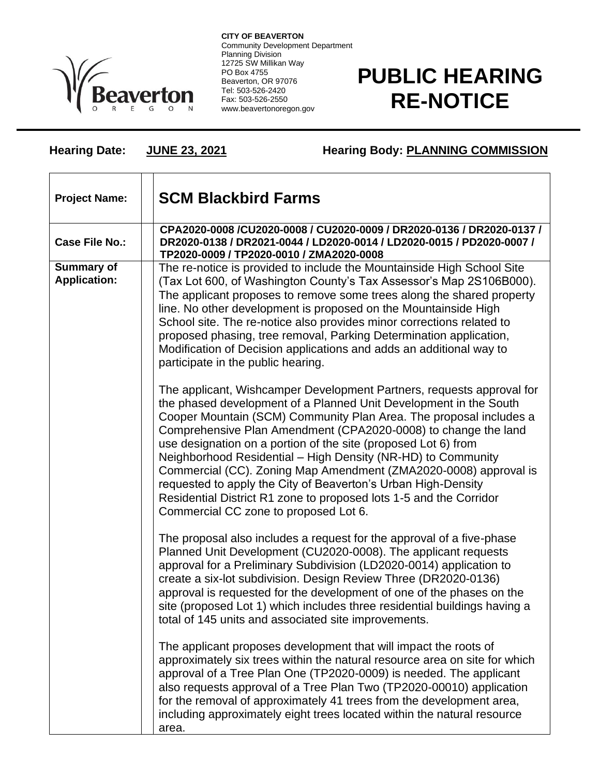

**CITY OF BEAVERTON** Community Development Department Planning Division 12725 SW Millikan Way PO Box 4755 Beaverton, OR 97076 Tel: 503-526-2420 Fax: 503-526-2550 www.beavertonoregon.gov

## **PUBLIC HEARING RE-NOTICE**

**Hearing Date: JUNE 23, 2021 Hearing Body: PLANNING COMMISSION**

| <b>Project Name:</b>              | <b>SCM Blackbird Farms</b>                                                                                                                                                                                                                                                                                                                                                                                                                                                                                                                                                                                                                                               |
|-----------------------------------|--------------------------------------------------------------------------------------------------------------------------------------------------------------------------------------------------------------------------------------------------------------------------------------------------------------------------------------------------------------------------------------------------------------------------------------------------------------------------------------------------------------------------------------------------------------------------------------------------------------------------------------------------------------------------|
| <b>Case File No.:</b>             | CPA2020-0008 /CU2020-0008 / CU2020-0009 / DR2020-0136 / DR2020-0137 /<br>DR2020-0138 / DR2021-0044 / LD2020-0014 / LD2020-0015 / PD2020-0007 /<br>TP2020-0009 / TP2020-0010 / ZMA2020-0008                                                                                                                                                                                                                                                                                                                                                                                                                                                                               |
| Summary of<br><b>Application:</b> | The re-notice is provided to include the Mountainside High School Site<br>(Tax Lot 600, of Washington County's Tax Assessor's Map 2S106B000).<br>The applicant proposes to remove some trees along the shared property<br>line. No other development is proposed on the Mountainside High<br>School site. The re-notice also provides minor corrections related to<br>proposed phasing, tree removal, Parking Determination application,<br>Modification of Decision applications and adds an additional way to<br>participate in the public hearing.                                                                                                                    |
|                                   | The applicant, Wishcamper Development Partners, requests approval for<br>the phased development of a Planned Unit Development in the South<br>Cooper Mountain (SCM) Community Plan Area. The proposal includes a<br>Comprehensive Plan Amendment (CPA2020-0008) to change the land<br>use designation on a portion of the site (proposed Lot 6) from<br>Neighborhood Residential - High Density (NR-HD) to Community<br>Commercial (CC). Zoning Map Amendment (ZMA2020-0008) approval is<br>requested to apply the City of Beaverton's Urban High-Density<br>Residential District R1 zone to proposed lots 1-5 and the Corridor<br>Commercial CC zone to proposed Lot 6. |
|                                   | The proposal also includes a request for the approval of a five-phase<br>Planned Unit Development (CU2020-0008). The applicant requests<br>approval for a Preliminary Subdivision (LD2020-0014) application to<br>create a six-lot subdivision. Design Review Three (DR2020-0136)<br>approval is requested for the development of one of the phases on the<br>site (proposed Lot 1) which includes three residential buildings having a<br>total of 145 units and associated site improvements.                                                                                                                                                                          |
|                                   | The applicant proposes development that will impact the roots of<br>approximately six trees within the natural resource area on site for which<br>approval of a Tree Plan One (TP2020-0009) is needed. The applicant<br>also requests approval of a Tree Plan Two (TP2020-00010) application<br>for the removal of approximately 41 trees from the development area,<br>including approximately eight trees located within the natural resource<br>area.                                                                                                                                                                                                                 |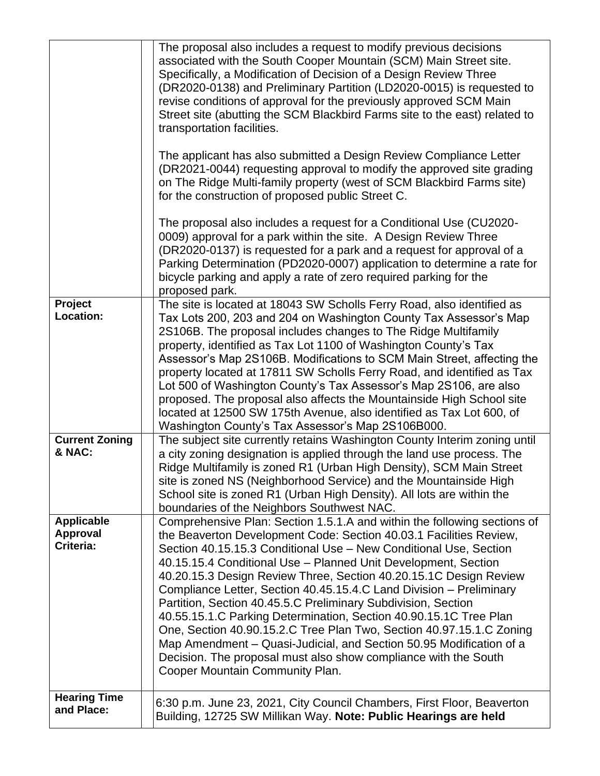|                                                   | The proposal also includes a request to modify previous decisions<br>associated with the South Cooper Mountain (SCM) Main Street site.<br>Specifically, a Modification of Decision of a Design Review Three<br>(DR2020-0138) and Preliminary Partition (LD2020-0015) is requested to<br>revise conditions of approval for the previously approved SCM Main<br>Street site (abutting the SCM Blackbird Farms site to the east) related to<br>transportation facilities.<br>The applicant has also submitted a Design Review Compliance Letter<br>(DR2021-0044) requesting approval to modify the approved site grading<br>on The Ridge Multi-family property (west of SCM Blackbird Farms site)<br>for the construction of proposed public Street C.<br>The proposal also includes a request for a Conditional Use (CU2020-<br>0009) approval for a park within the site. A Design Review Three<br>(DR2020-0137) is requested for a park and a request for approval of a<br>Parking Determination (PD2020-0007) application to determine a rate for<br>bicycle parking and apply a rate of zero required parking for the<br>proposed park. |
|---------------------------------------------------|-------------------------------------------------------------------------------------------------------------------------------------------------------------------------------------------------------------------------------------------------------------------------------------------------------------------------------------------------------------------------------------------------------------------------------------------------------------------------------------------------------------------------------------------------------------------------------------------------------------------------------------------------------------------------------------------------------------------------------------------------------------------------------------------------------------------------------------------------------------------------------------------------------------------------------------------------------------------------------------------------------------------------------------------------------------------------------------------------------------------------------------------|
| Project<br><b>Location:</b>                       | The site is located at 18043 SW Scholls Ferry Road, also identified as<br>Tax Lots 200, 203 and 204 on Washington County Tax Assessor's Map<br>2S106B. The proposal includes changes to The Ridge Multifamily<br>property, identified as Tax Lot 1100 of Washington County's Tax<br>Assessor's Map 2S106B. Modifications to SCM Main Street, affecting the<br>property located at 17811 SW Scholls Ferry Road, and identified as Tax<br>Lot 500 of Washington County's Tax Assessor's Map 2S106, are also<br>proposed. The proposal also affects the Mountainside High School site<br>located at 12500 SW 175th Avenue, also identified as Tax Lot 600, of<br>Washington County's Tax Assessor's Map 2S106B000.                                                                                                                                                                                                                                                                                                                                                                                                                           |
| <b>Current Zoning</b><br>& NAC:                   | The subject site currently retains Washington County Interim zoning until<br>a city zoning designation is applied through the land use process. The<br>Ridge Multifamily is zoned R1 (Urban High Density), SCM Main Street<br>site is zoned NS (Neighborhood Service) and the Mountainside High<br>School site is zoned R1 (Urban High Density). All lots are within the<br>boundaries of the Neighbors Southwest NAC.                                                                                                                                                                                                                                                                                                                                                                                                                                                                                                                                                                                                                                                                                                                    |
| <b>Applicable</b><br><b>Approval</b><br>Criteria: | Comprehensive Plan: Section 1.5.1.A and within the following sections of<br>the Beaverton Development Code: Section 40.03.1 Facilities Review,<br>Section 40.15.15.3 Conditional Use - New Conditional Use, Section<br>40.15.15.4 Conditional Use - Planned Unit Development, Section<br>40.20.15.3 Design Review Three, Section 40.20.15.1C Design Review<br>Compliance Letter, Section 40.45.15.4.C Land Division - Preliminary<br>Partition, Section 40.45.5.C Preliminary Subdivision, Section<br>40.55.15.1.C Parking Determination, Section 40.90.15.1C Tree Plan<br>One, Section 40.90.15.2.C Tree Plan Two, Section 40.97.15.1.C Zoning<br>Map Amendment – Quasi-Judicial, and Section 50.95 Modification of a<br>Decision. The proposal must also show compliance with the South<br>Cooper Mountain Community Plan.                                                                                                                                                                                                                                                                                                              |
| <b>Hearing Time</b><br>and Place:                 | 6:30 p.m. June 23, 2021, City Council Chambers, First Floor, Beaverton<br>Building, 12725 SW Millikan Way. Note: Public Hearings are held                                                                                                                                                                                                                                                                                                                                                                                                                                                                                                                                                                                                                                                                                                                                                                                                                                                                                                                                                                                                 |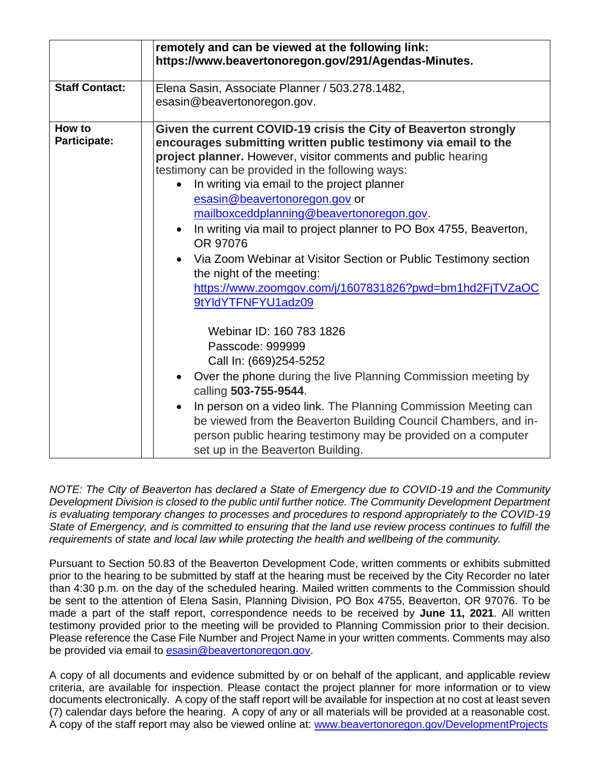|                        | remotely and can be viewed at the following link:<br>https://www.beavertonoregon.gov/291/Agendas-Minutes.                                                                                                                                                                                                                                                                                                                                                                                                                                                                                                                                                                                     |
|------------------------|-----------------------------------------------------------------------------------------------------------------------------------------------------------------------------------------------------------------------------------------------------------------------------------------------------------------------------------------------------------------------------------------------------------------------------------------------------------------------------------------------------------------------------------------------------------------------------------------------------------------------------------------------------------------------------------------------|
| <b>Staff Contact:</b>  | Elena Sasin, Associate Planner / 503.278.1482,<br>esasin@beavertonoregon.gov.                                                                                                                                                                                                                                                                                                                                                                                                                                                                                                                                                                                                                 |
| How to<br>Participate: | Given the current COVID-19 crisis the City of Beaverton strongly<br>encourages submitting written public testimony via email to the<br>project planner. However, visitor comments and public hearing<br>testimony can be provided in the following ways:<br>In writing via email to the project planner<br>$\bullet$<br>esasin@beavertonoregon.gov or<br>mailboxceddplanning@beavertonoregon.gov.<br>In writing via mail to project planner to PO Box 4755, Beaverton,<br>$\bullet$<br>OR 97076<br>Via Zoom Webinar at Visitor Section or Public Testimony section<br>$\bullet$<br>the night of the meeting:<br>https://www.zoomgov.com/j/1607831826?pwd=bm1hd2FjTVZaOC<br>9tYldYTFNFYU1adz09 |
|                        | Webinar ID: 160 783 1826<br>Passcode: 999999<br>Call In: (669)254-5252<br>Over the phone during the live Planning Commission meeting by<br>$\bullet$<br>calling 503-755-9544.<br>In person on a video link. The Planning Commission Meeting can<br>$\bullet$<br>be viewed from the Beaverton Building Council Chambers, and in-<br>person public hearing testimony may be provided on a computer<br>set up in the Beaverton Building.                                                                                                                                                                                                                                                         |

*NOTE: The City of Beaverton has declared a State of Emergency due to COVID-19 and the Community Development Division is closed to the public until further notice. The Community Development Department is evaluating temporary changes to processes and procedures to respond appropriately to the COVID-19 State of Emergency, and is committed to ensuring that the land use review process continues to fulfill the requirements of state and local law while protecting the health and wellbeing of the community.*

Pursuant to Section 50.83 of the Beaverton Development Code, written comments or exhibits submitted prior to the hearing to be submitted by staff at the hearing must be received by the City Recorder no later than 4:30 p.m. on the day of the scheduled hearing. Mailed written comments to the Commission should be sent to the attention of Elena Sasin, Planning Division, PO Box 4755, Beaverton, OR 97076. To be made a part of the staff report, correspondence needs to be received by **June 11, 2021**. All written testimony provided prior to the meeting will be provided to Planning Commission prior to their decision. Please reference the Case File Number and Project Name in your written comments. Comments may also be provided via email to [esasin@beavertonoregon.gov.](mailto:esasin@beavertonoregon.gov)

A copy of all documents and evidence submitted by or on behalf of the applicant, and applicable review criteria, are available for inspection. Please contact the project planner for more information or to view documents electronically. A copy of the staff report will be available for inspection at no cost at least seven (7) calendar days before the hearing. A copy of any or all materials will be provided at a reasonable cost. A copy of the staff report may also be viewed online at: [www.beavertonoregon.gov/DevelopmentProjects](http://www.beavertonoregon.gov/DevelopmentProjects)